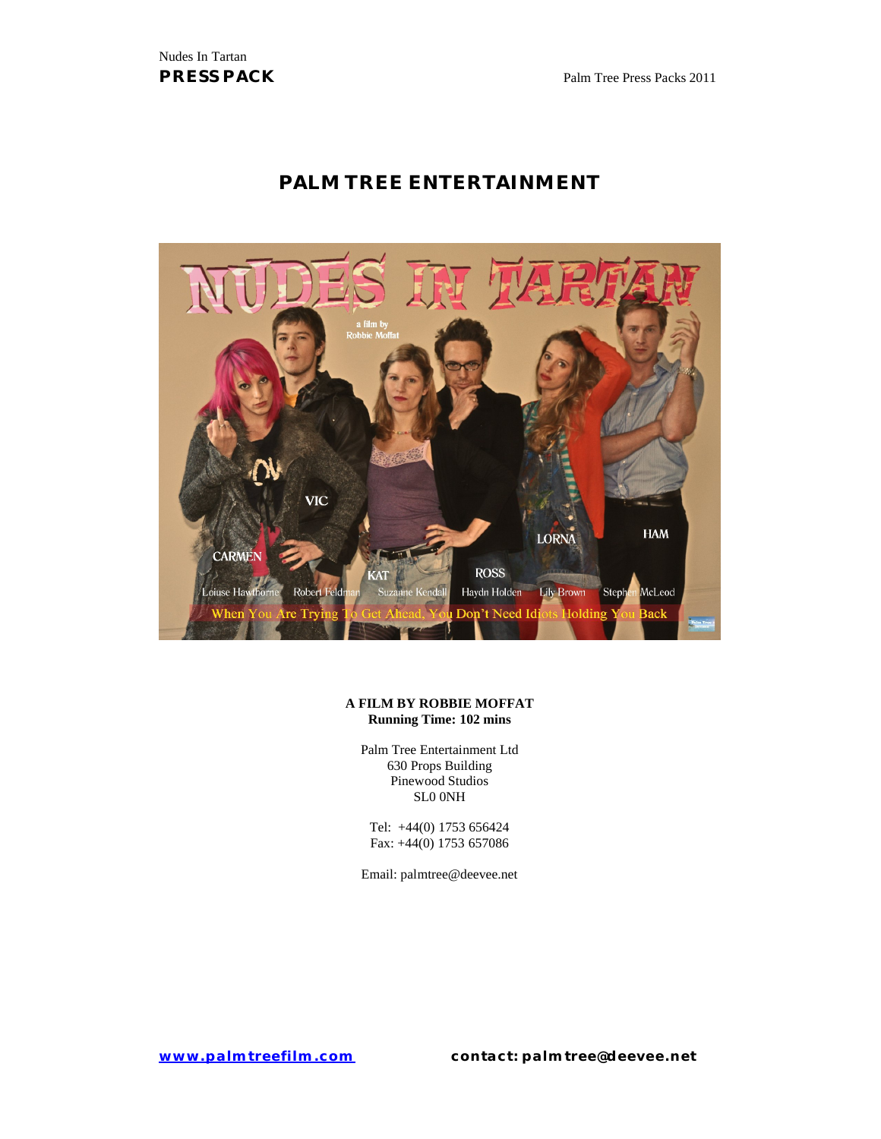# **PALM TREE ENTERTAINMENT**



#### **A FILM BY ROBBIE MOFFAT Running Time: 102 mins**

Palm Tree Entertainment Ltd 630 Props Building Pinewood Studios SL0 0NH

Tel: +44(0) 1753 656424 Fax: +44(0) 1753 657086

Email: palmtree@deevee.net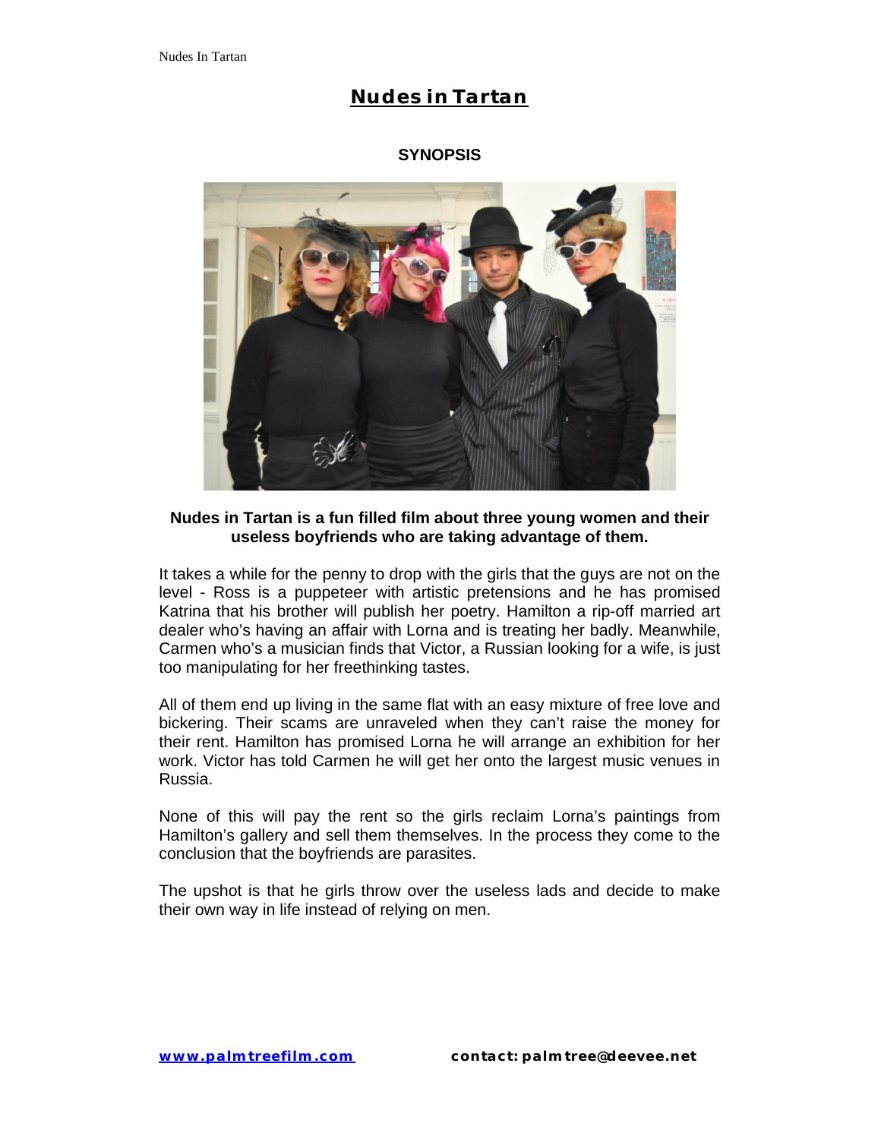### **SYNOPSIS**



### **Nudes in Tartan is a fun filled film about three young women and their useless boyfriends who are taking advantage of them.**

It takes a while for the penny to drop with the girls that the guys are not on the level - Ross is a puppeteer with artistic pretensions and he has promised Katrina that his brother will publish her poetry. Hamilton a rip-off married art dealer who's having an affair with Lorna and is treating her badly. Meanwhile, Carmen who's a musician finds that Victor, a Russian looking for a wife, is just too manipulating for her freethinking tastes.

All of them end up living in the same flat with an easy mixture of free love and bickering. Their scams are unraveled when they can't raise the money for their rent. Hamilton has promised Lorna he will arrange an exhibition for her work. Victor has told Carmen he will get her onto the largest music venues in Russia.

None of this will pay the rent so the girls reclaim Lorna's paintings from Hamilton's gallery and sell them themselves. In the process they come to the conclusion that the boyfriends are parasites.

The upshot is that he girls throw over the useless lads and decide to make their own way in life instead of relying on men.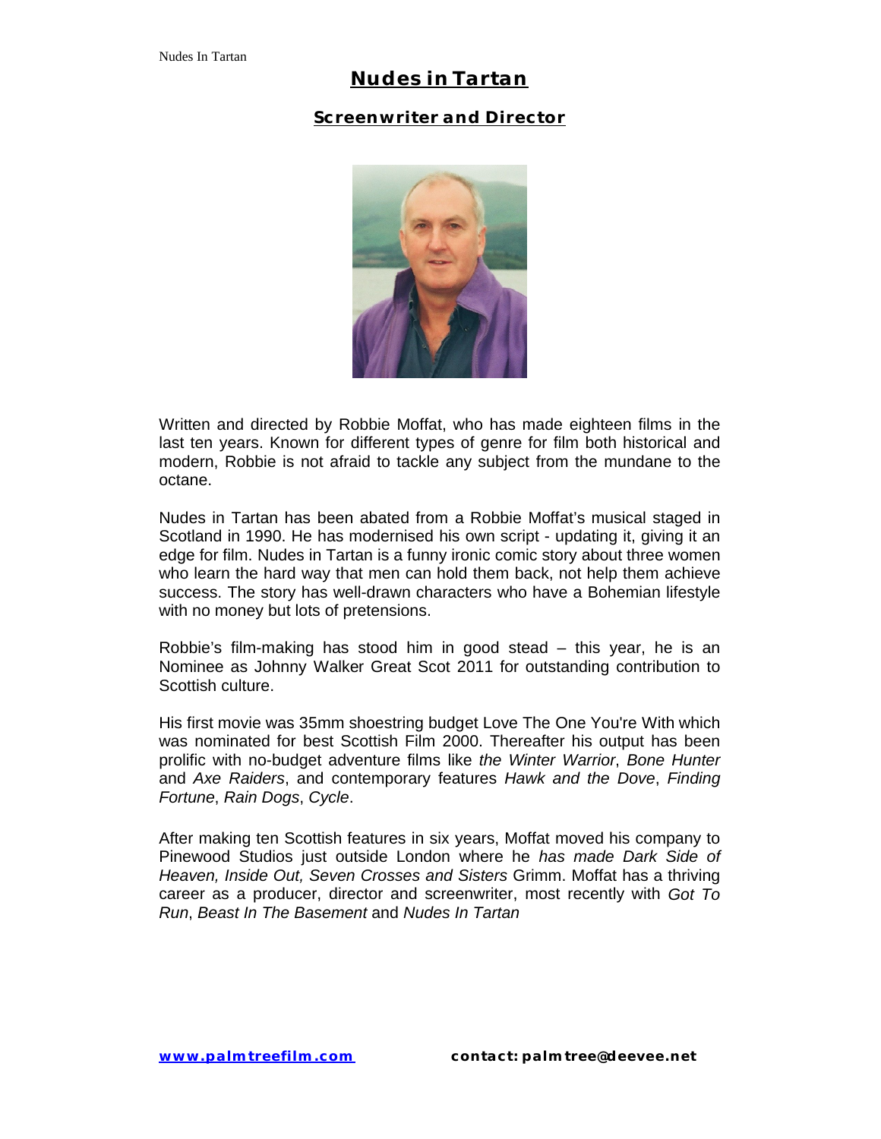### **Screenwriter and Director**



Written and directed by Robbie Moffat, who has made eighteen films in the last ten years. Known for different types of genre for film both historical and modern, Robbie is not afraid to tackle any subject from the mundane to the octane.

Nudes in Tartan has been abated from a Robbie Moffat's musical staged in Scotland in 1990. He has modernised his own script - updating it, giving it an edge for film. Nudes in Tartan is a funny ironic comic story about three women who learn the hard way that men can hold them back, not help them achieve success. The story has well-drawn characters who have a Bohemian lifestyle with no money but lots of pretensions.

Robbie's film-making has stood him in good stead – this year, he is an Nominee as Johnny Walker Great Scot 2011 for outstanding contribution to Scottish culture.

His first movie was 35mm shoestring budget Love The One You're With which was nominated for best Scottish Film 2000. Thereafter his output has been prolific with no-budget adventure films like *the Winter Warrior*, *Bone Hunter* and *Axe Raiders*, and contemporary features *Hawk and the Dove*, *Finding Fortune*, *Rain Dogs*, *Cycle*.

After making ten Scottish features in six years, Moffat moved his company to Pinewood Studios just outside London where he *has made Dark Side of Heaven, Inside Out, Seven Crosses and Sisters* Grimm. Moffat has a thriving career as a producer, director and screenwriter, most recently with *Got To Run*, *Beast In The Basement* and *Nudes In Tartan*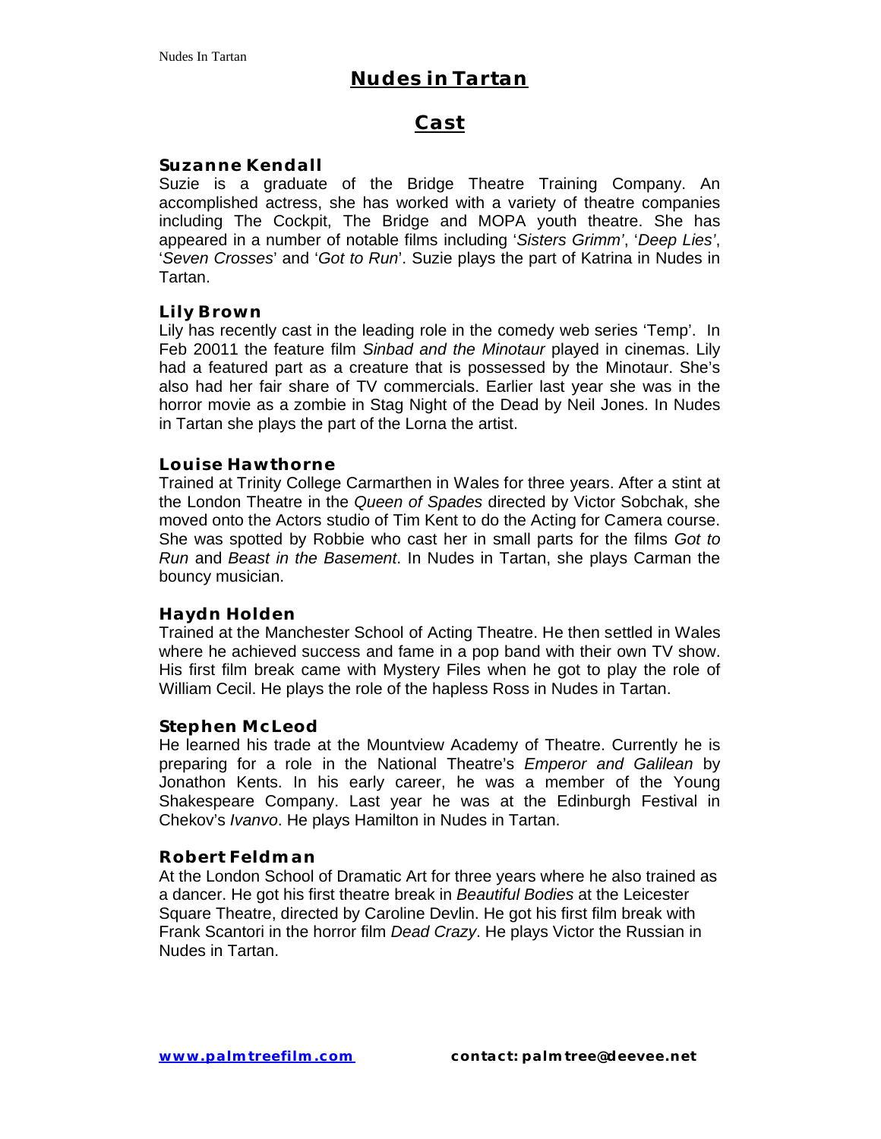## **Cast**

### **Suzanne Kendall**

Suzie is a graduate of the Bridge Theatre Training Company. An accomplished actress, she has worked with a variety of theatre companies including The Cockpit, The Bridge and MOPA youth theatre. She has appeared in a number of notable films including '*Sisters Grimm'*, '*Deep Lies'*, '*Seven Crosses*' and '*Got to Run*'. Suzie plays the part of Katrina in Nudes in Tartan.

#### **Lily Brown**

Lily has recently cast in the leading role in the comedy web series 'Temp'. In Feb 20011 the feature film *Sinbad and the Minotaur* played in cinemas. Lily had a featured part as a creature that is possessed by the Minotaur. She's also had her fair share of TV commercials. Earlier last year she was in the horror movie as a zombie in Stag Night of the Dead by Neil Jones. In Nudes in Tartan she plays the part of the Lorna the artist.

#### **Louise Hawthorne**

Trained at Trinity College Carmarthen in Wales for three years. After a stint at the London Theatre in the *Queen of Spades* directed by Victor Sobchak, she moved onto the Actors studio of Tim Kent to do the Acting for Camera course. She was spotted by Robbie who cast her in small parts for the films *Got to Run* and *Beast in the Basement*. In Nudes in Tartan, she plays Carman the bouncy musician.

#### **Haydn Holden**

Trained at the Manchester School of Acting Theatre. He then settled in Wales where he achieved success and fame in a pop band with their own TV show. His first film break came with Mystery Files when he got to play the role of William Cecil. He plays the role of the hapless Ross in Nudes in Tartan.

#### **Stephen McLeod**

He learned his trade at the Mountview Academy of Theatre. Currently he is preparing for a role in the National Theatre's *Emperor and Galilean* by Jonathon Kents. In his early career, he was a member of the Young Shakespeare Company. Last year he was at the Edinburgh Festival in Chekov's *Ivanvo*. He plays Hamilton in Nudes in Tartan.

#### **Robert Feldman**

At the London School of Dramatic Art for three years where he also trained as a dancer. He got his first theatre break in *Beautiful Bodies* at the Leicester Square Theatre, directed by Caroline Devlin. He got his first film break with Frank Scantori in the horror film *Dead Crazy*. He plays Victor the Russian in Nudes in Tartan.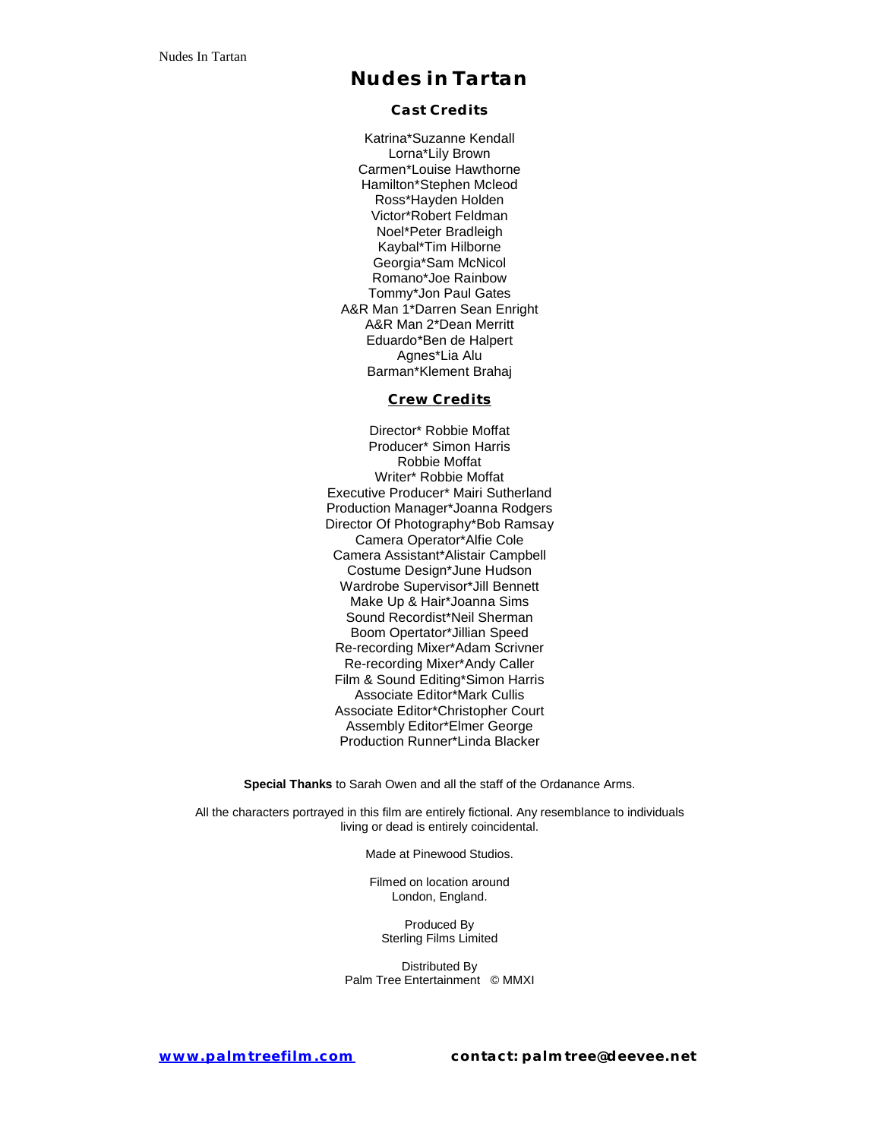**Cast Credits**

Katrina\*Suzanne Kendall Lorna\*Lily Brown Carmen\*Louise Hawthorne Hamilton\*Stephen Mcleod Ross\*Hayden Holden Victor\*Robert Feldman Noel\*Peter Bradleigh Kaybal\*Tim Hilborne Georgia\*Sam McNicol Romano\*Joe Rainbow Tommy\*Jon Paul Gates A&R Man 1\*Darren Sean Enright A&R Man 2\*Dean Merritt Eduardo\*Ben de Halpert Agnes\*Lia Alu Barman\*Klement Brahaj

#### **Crew Credits**

Director\* Robbie Moffat Producer\* Simon Harris Robbie Moffat Writer\* Robbie Moffat Executive Producer\* Mairi Sutherland Production Manager\*Joanna Rodgers Director Of Photography\*Bob Ramsay Camera Operator\*Alfie Cole Camera Assistant\*Alistair Campbell Costume Design\*June Hudson Wardrobe Supervisor\*Jill Bennett Make Up & Hair\*Joanna Sims Sound Recordist\*Neil Sherman Boom Opertator\*Jillian Speed Re-recording Mixer\*Adam Scrivner Re-recording Mixer\*Andy Caller Film & Sound Editing\*Simon Harris Associate Editor\*Mark Cullis Associate Editor\*Christopher Court Assembly Editor\*Elmer George Production Runner\*Linda Blacker

**Special Thanks** to Sarah Owen and all the staff of the Ordanance Arms.

All the characters portrayed in this film are entirely fictional. Any resemblance to individuals living or dead is entirely coincidental.

Made at Pinewood Studios.

Filmed on location around London, England.

Produced By Sterling Films Limited

Distributed By Palm Tree Entertainment © MMXI

**www.palmtreefilm.com contact: palmtree@deevee.net**